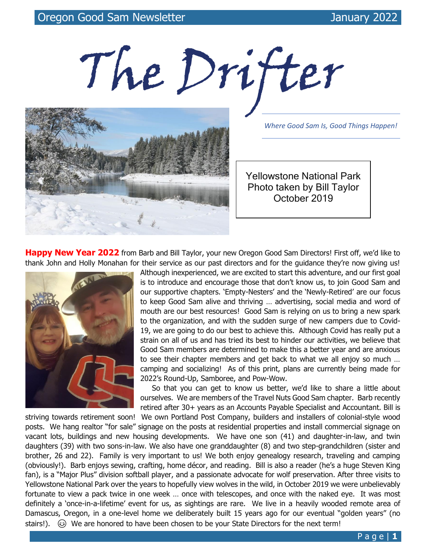The Drifter



*Where Good Sam Is, Good Things Happen!*

Yellowstone National Park Photo taken by Bill Taylor October 2019

**Happy New Year 2022** from Barb and Bill Taylor, your new Oregon Good Sam Directors! First off, we'd like to thank John and Holly Monahan for their service as our past directors and for the guidance they're now giving us!



Although inexperienced, we are excited to start this adventure, and our first goal is to introduce and encourage those that don't know us, to join Good Sam and our supportive chapters. 'Empty-Nesters' and the 'Newly-Retired' are our focus to keep Good Sam alive and thriving … advertising, social media and word of mouth are our best resources! Good Sam is relying on us to bring a new spark to the organization, and with the sudden surge of new campers due to Covid-19, we are going to do our best to achieve this. Although Covid has really put a strain on all of us and has tried its best to hinder our activities, we believe that Good Sam members are determined to make this a better year and are anxious to see their chapter members and get back to what we all enjoy so much … camping and socializing! As of this print, plans are currently being made for 2022's Round-Up, Samboree, and Pow-Wow.

 So that you can get to know us better, we'd like to share a little about ourselves. We are members of the Travel Nuts Good Sam chapter. Barb recently retired after 30+ years as an Accounts Payable Specialist and Accountant. Bill is

striving towards retirement soon! We own Portland Post Company, builders and installers of colonial-style wood posts. We hang realtor "for sale" signage on the posts at residential properties and install commercial signage on vacant lots, buildings and new housing developments. We have one son (41) and daughter-in-law, and twin daughters (39) with two sons-in-law. We also have one granddaughter (8) and two step-grandchildren (sister and brother, 26 and 22). Family is very important to us! We both enjoy genealogy research, traveling and camping (obviously!). Barb enjoys sewing, crafting, home décor, and reading. Bill is also a reader (he's a huge Steven King fan), is a "Major Plus" division softball player, and a passionate advocate for wolf preservation. After three visits to Yellowstone National Park over the years to hopefully view wolves in the wild, in October 2019 we were unbelievably fortunate to view a pack twice in one week … once with telescopes, and once with the naked eye. It was most definitely a 'once-in-a-lifetime' event for us, as sightings are rare. We live in a heavily wooded remote area of Damascus, Oregon, in a one-level home we deliberately built 15 years ago for our eventual "golden years" (no stairs!).  $\circled{e}$  We are honored to have been chosen to be your State Directors for the next term!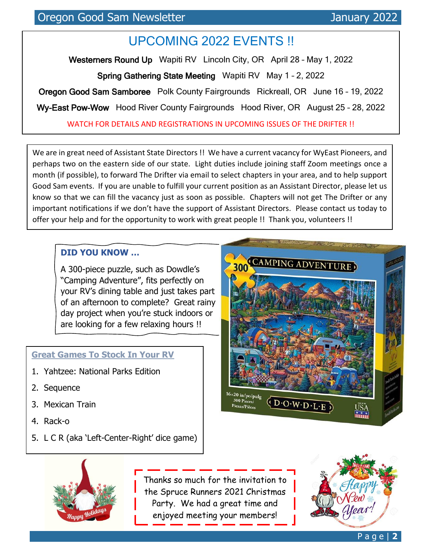# UPCOMING 2022 EVENTS !!

Westerners Round Up Wapiti RV Lincoln City, OR April 28 - May 1, 2022

Spring Gathering State Meeting Wapiti RV May 1 – 2, 2022

Oregon Good Sam Samboree Polk County Fairgrounds Rickreall, OR June 16 – 19, 2022

Wy-East Pow-Wow Hood River County Fairgrounds Hood River, OR August 25 - 28, 2022

WATCH FOR DETAILS AND REGISTRATIONS IN UPCOMING ISSUES OF THE DRIFTER !!

We are in great need of Assistant State Directors !! We have a current vacancy for WyEast Pioneers, and perhaps two on the eastern side of our state. Light duties include joining staff Zoom meetings once a month (if possible), to forward The Drifter via email to select chapters in your area, and to help support Good Sam events. If you are unable to fulfill your current position as an Assistant Director, please let us know so that we can fill the vacancy just as soon as possible. Chapters will not get The Drifter or any important notifications if we don't have the support of Assistant Directors. Please contact us today to offer your help and for the opportunity to work with great people !! Thank you, volunteers !!

### **DID YOU KNOW …**

A 300-piece puzzle, such as Dowdle's "Camping Adventure", fits perfectly on your RV's dining table and just takes part of an afternoon to complete? Great rainy day project when you're stuck indoors or are looking for a few relaxing hours !!

#### **Great Games To Stock In Your RV**

- 1. Yahtzee: National Parks Edition
- 2. Sequence
- 3. Mexican Train
- 4. Rack-o
- 5. L C R (aka 'Left-Center-Right' dice game)





**CAMPING IN THE SNOW** enjoyed meeting your members! Thanks so much for the invitation to the Spruce Runners 2021 Christmas Party. We had a great time and

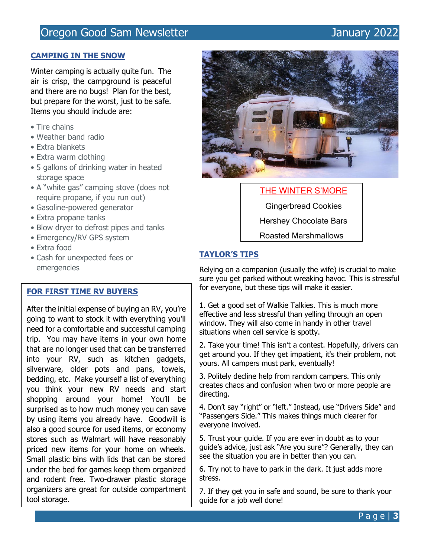# Oregon Good Sam Newsletter Manuary 2022

#### **CAMPING IN THE SNOW**

Winter camping is actually quite fun. The air is crisp, the campground is peaceful and there are no bugs! Plan for the best, but prepare for the worst, just to be safe. Items you should include are:

- Tire chains
- Weather band radio
- Extra blankets
- Extra warm clothing
- 5 gallons of drinking water in heated storage space
- A "white gas" camping stove (does not require propane, if you run out)
- Gasoline-powered generator
- Extra propane tanks
- Blow dryer to defrost pipes and tanks
- Emergency/RV GPS system
- Extra food
- Cash for unexpected fees or emergencies

#### **FOR FIRST TIME RV BUYERS**

and will be remaining the contract of the state of the person of the bed for games keep them organized After the initial expense of buying an RV, you're going to want to stock it with everything you'll need for a comfortable and successful camping trip. You may have items in your own home that are no longer used that can be transferred into your RV, such as kitchen gadgets, silverware, older pots and pans, towels, bedding, etc. Make yourself a list of everything you think your new RV needs and start shopping around your home! You'll be surprised as to how much money you can save by using items you already have. Goodwill is also a good source for used items, or economy stores such as Walmart will have reasonably priced new items for your home on wheels. Small plastic bins with lids that can be stored and rodent free. Two-drawer plastic storage organizers are great for outside compartment tool storage.



#### THE WINTER S'MORE

Gingerbread Cookies Hershey Chocolate Bars Roasted Marshmallows

#### **TAYLOR'S TIPS**

Relying on a companion (usually the wife) is crucial to make sure you get parked without wreaking havoc. This is stressful for everyone, but these tips will make it easier.

1. Get a good set of Walkie Talkies. This is much more effective and less stressful than yelling through an open window. They will also come in handy in other travel situations when cell service is spotty.

2. Take your time! This isn't a contest. Hopefully, drivers can get around you. If they get impatient, it's their problem, not yours. All campers must park, eventually!

3. Politely decline help from random campers. This only creates chaos and confusion when two or more people are directing.

4. Don't say "right" or "left." Instead, use "Drivers Side" and "Passengers Side." This makes things much clearer for everyone involved.

5. Trust your guide. If you are ever in doubt as to your guide's advice, just ask "Are you sure"? Generally, they can see the situation you are in better than you can.

6. Try not to have to park in the dark. It just adds more stress.

7. If they get you in safe and sound, be sure to thank your guide for a job well done!

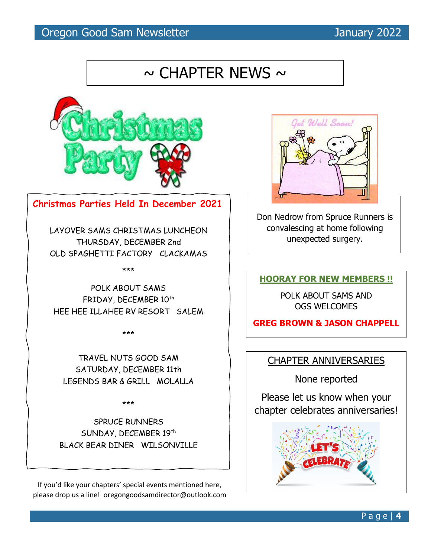# Oregon Good Sam Newsletter Manuary 2022

# $\sim$  CHAPTER NEWS  $\sim$



#### **Christmas Parties Held In December 2021**

LAYOVER SAMS CHRISTMAS LUNCHEON THURSDAY, DECEMBER 2nd OLD SPAGHETTI FACTORY CLACKAMAS

\*\*\*

POLK ABOUT SAMS FRIDAY, DECEMBER 10<sup>th</sup> HEE HEE ILLAHEE RV RESORT SALEM

\*\*\*

TRAVEL NUTS GOOD SAM SATURDAY, DECEMBER 11th LEGENDS BAR & GRILL MOLALLA

\*\*\*

SPRUCE RUNNERS SUNDAY, DECEMBER 19th BLACK BEAR DINER WILSONVILLE

If you'd like your chapters' special events mentioned here, please drop us a line! oregongoodsamdirector@outlook.com



Don Nedrow from Spruce Runners is convalescing at home following unexpected surgery.

**HOORAY FOR NEW MEMBERS !!**

POLK ABOUT SAMS AND OGS WELCOMES

**GREG BROWN & JASON CHAPPELL**

### CHAPTER ANNIVERSARIES

None reported

Please let us know when your chapter celebrates anniversaries!

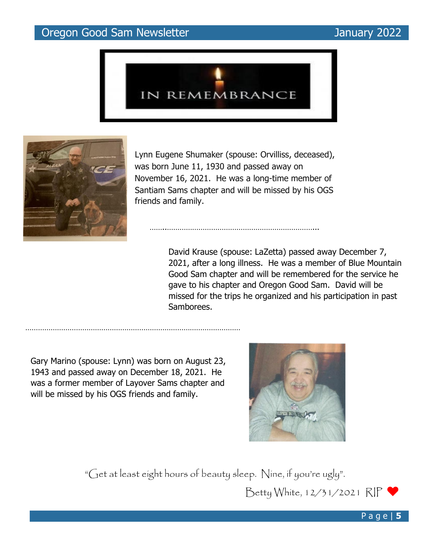# Oregon Good Sam Newsletter Manuary 2022





 Lynn Eugene Shumaker (spouse: Orvilliss, deceased), was born June 11, 1930 and passed away on November 16, 2021. He was a long-time member of Santiam Sams chapter and will be missed by his OGS friends and family.

> David Krause (spouse: LaZetta) passed away December 7, 2021, after a long illness. He was a member of Blue Mountain Good Sam chapter and will be remembered for the service he gave to his chapter and Oregon Good Sam. David will be missed for the trips he organized and his participation in past Samborees.

Gary Marino (spouse: Lynn) was born on August 23, 1943 and passed away on December 18, 2021. He was a former member of Layover Sams chapter and will be missed by his OGS friends and family.

…………………………………………………………………………………………



"Get at least eight hours of beauty sleep. Nine, if you're ugly".

Betty White, 12/31/2021 RIP



P a g e | **5**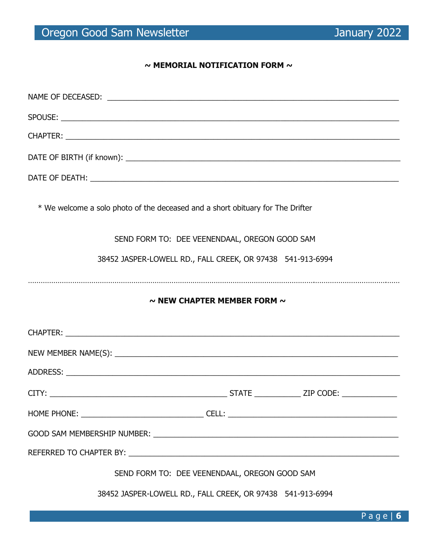#### **~ MEMORIAL NOTIFICATION FORM ~**

| * We welcome a solo photo of the deceased and a short obituary for The Drifter |
|--------------------------------------------------------------------------------|
| SEND FORM TO: DEE VEENENDAAL, OREGON GOOD SAM                                  |
| 38452 JASPER-LOWELL RD., FALL CREEK, OR 97438 541-913-6994                     |
|                                                                                |
| $\sim$ NEW CHAPTER MEMBER FORM $\sim$                                          |
|                                                                                |
|                                                                                |
|                                                                                |
|                                                                                |
|                                                                                |
|                                                                                |
|                                                                                |
|                                                                                |
| SEND FORM TO: DEE VEENENDAAL, OREGON GOOD SAM                                  |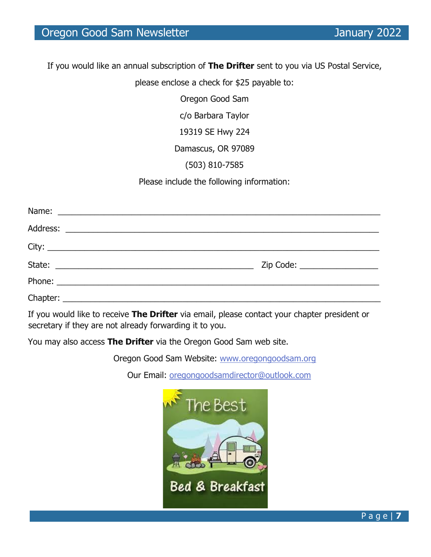If you would like an annual subscription of **The Drifter** sent to you via US Postal Service,

please enclose a check for \$25 payable to:

Oregon Good Sam

c/o Barbara Taylor

19319 SE Hwy 224

Damascus, OR 97089

(503) 810-7585

Please include the following information:

| Zip Code: ____________________ |
|--------------------------------|
|                                |
|                                |

If you would like to receive **The Drifter** via email, please contact your chapter president or secretary if they are not already forwarding it to you.

You may also access **The Drifter** via the Oregon Good Sam web site.

Oregon Good Sam Website: [www.oregongoodsam.org](http://www.oregongoodsam.org/)

Our Email: oregongoodsamdirector@outlook.com